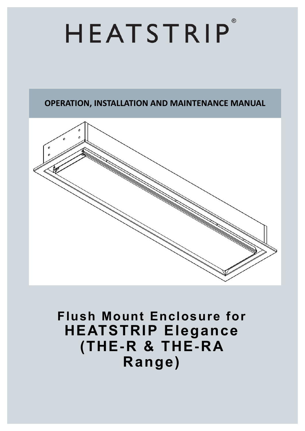## $\circledR$ HEATSTRIP

### **OPERATION, INSTALLATION AND MAINTENANCE MANUAL**



## **Flush Mount Enclosure for HEATSTRIP Elegance (THE-R & THE-RA Range)**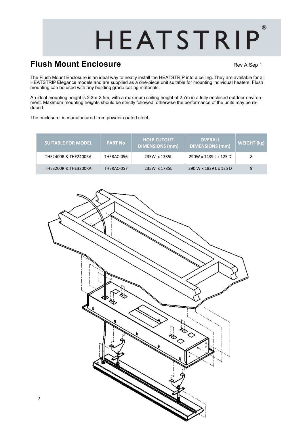# HEATSTRIP

### **Flush Mount Enclosure Rev A Sep 1** Rev A Sep 1

 $( R )$ 

The Flush Mount Enclosure is an ideal way to neatly install the HEATSTRIP into a ceiling. They are available for all HEATSTRIP Elegance models and are supplied as a one-piece unit suitable for mounting individual heaters. Flush mounting can be used with any building grade ceiling materials.

An ideal mounting height is 2.3m-2.5m, with a maximum ceiling height of 2.7m in a fully enclosed outdoor environment. Maximum mounting heights should be strictly followed, otherwise the performance of the units may be reduced.

The enclosure is manufactured from powder coated steel.

| <b>SUITABLE FOR MODEL</b>       | <b>PART No</b> | <b>HOLE CUTOUT</b><br><b>DIMENSIONS (mm)</b> | <b>OVERALL</b><br><b>DIMENSIONS (mm)</b> | WEIGHT (kg) |
|---------------------------------|----------------|----------------------------------------------|------------------------------------------|-------------|
| THE2400R & THE2400RA            | THERAC-056     | 235W x 1385L                                 | 290W x 1439 L x 125 D                    | 8           |
| <b>THE3200R &amp; THE3200RA</b> | THERAC-057     | 235W x 1785L                                 | 290 W x 1839 L x 125 D                   | 9           |



2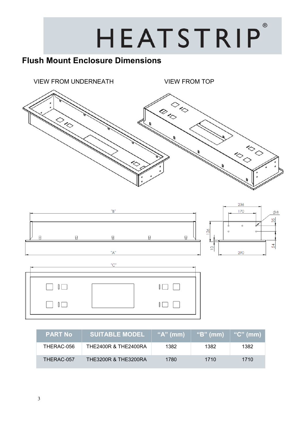## $^{\circledR}$ HEATSTRIP

## **Flush Mount Enclosure Dimensions**







| <b>PART No</b> | <b>SUITABLE MODEL</b>           | " $A$ " (mm) | $\lq$ "B" (mm) | " $C$ " (mm) |
|----------------|---------------------------------|--------------|----------------|--------------|
| THERAC-056     | <b>THE2400R &amp; THE2400RA</b> | 1382         | 1382           | 1382         |
| THERAC-057     | <b>THE3200R &amp; THE3200RA</b> | 1780         | 1710           | 1710         |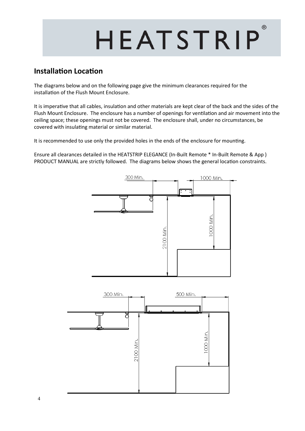## $( R )$ HEATSTRIP

#### **Installation Location**

The diagrams below and on the following page give the minimum clearances required for the installation of the Flush Mount Enclosure.

It is imperative that all cables, insulation and other materials are kept clear of the back and the sides of the Flush Mount Enclosure. The enclosure has a number of openings for ventilation and air movement into the ceiling space; these openings must not be covered. The enclosure shall, under no circumstances, be covered with insulating material or similar material.

It is recommended to use only the provided holes in the ends of the enclosure for mounting.

Ensure all clearances detailed in the HEATSTRIP ELEGANCE (In-Built Remote \* In-Built Remote & App ) PRODUCT MANUAL are strictly followed. The diagrams below shows the general location constraints.

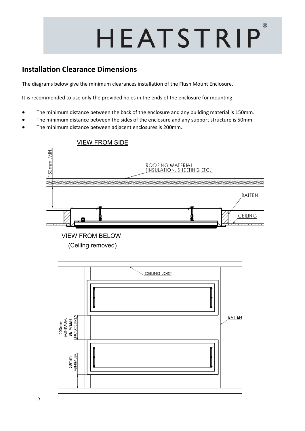## $^{\circledR}$ HEATSTRIP

#### **Installation Clearance Dimensions**

The diagrams below give the minimum clearances installation of the Flush Mount Enclosure.

It is recommended to use only the provided holes in the ends of the enclosure for mounting.

- The minimum distance between the back of the enclosure and any building material is 150mm.
- The minimum distance between the sides of the enclosure and any support structure is 50mm.
- The minimum distance between adjacent enclosures is 200mm.

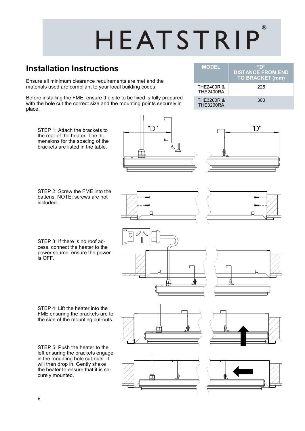## $( R )$ HEATSTRIP

**MODEL "D"**

THE2400R & THE2400RA

THE3200R & THE3200RA

**DISTANCE FROM END TO BRACKET (mm)**

225

300

### **Installation Instructions**

Ensure all minimum clearance requirements are met and the materials used are compliant to your local building codes.

Before installing the FME, ensure the site to be fixed is fully prepared with the hole cut the correct size and the mounting points securely in place.

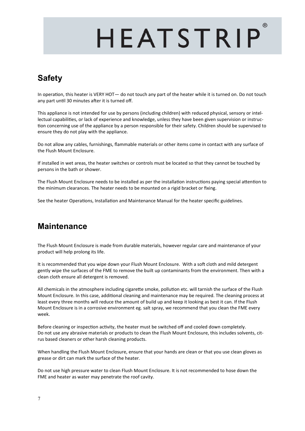# HEATSTRIP

 $( R )$ 

## **Safety**

In operation, this heater is VERY HOT— do not touch any part of the heater while it is turned on. Do not touch any part until 30 minutes after it is turned off.

This appliance is not intended for use by persons (including children) with reduced physical, sensory or intellectual capabilities, or lack of experience and knowledge, unless they have been given supervision or instruction concerning use of the appliance by a person responsible for their safety. Children should be supervised to ensure they do not play with the appliance.

Do not allow any cables, furnishings, flammable materials or other items come in contact with any surface of the Flush Mount Enclosure.

If installed in wet areas, the heater switches or controls must be located so that they cannot be touched by persons in the bath or shower.

The Flush Mount Enclosure needs to be installed as per the installation instructions paying special attention to the minimum clearances. The heater needs to be mounted on a rigid bracket or fixing.

See the heater Operations, Installation and Maintenance Manual for the heater specific guidelines.

#### **Maintenance**

The Flush Mount Enclosure is made from durable materials, however regular care and maintenance of your product will help prolong its life.

It is recommended that you wipe down your Flush Mount Enclosure. With a soft cloth and mild detergent gently wipe the surfaces of the FME to remove the built up contaminants from the environment. Then with a clean cloth ensure all detergent is removed.

All chemicals in the atmosphere including cigarette smoke, pollution etc. will tarnish the surface of the Flush Mount Enclosure. In this case, additional cleaning and maintenance may be required. The cleaning process at least every three months will reduce the amount of build up and keep it looking as best it can. If the Flush Mount Enclosure is in a corrosive environment eg. salt spray, we recommend that you clean the FME every week.

Before cleaning or inspection activity, the heater must be switched off and cooled down completely. Do not use any abrasive materials or products to clean the Flush Mount Enclosure, this includes solvents, citrus based cleaners or other harsh cleaning products.

When handling the Flush Mount Enclosure, ensure that your hands are clean or that you use clean gloves as grease or dirt can mark the surface of the heater.

Do not use high pressure water to clean Flush Mount Enclosure. It is not recommended to hose down the FME and heater as water may penetrate the roof cavity.